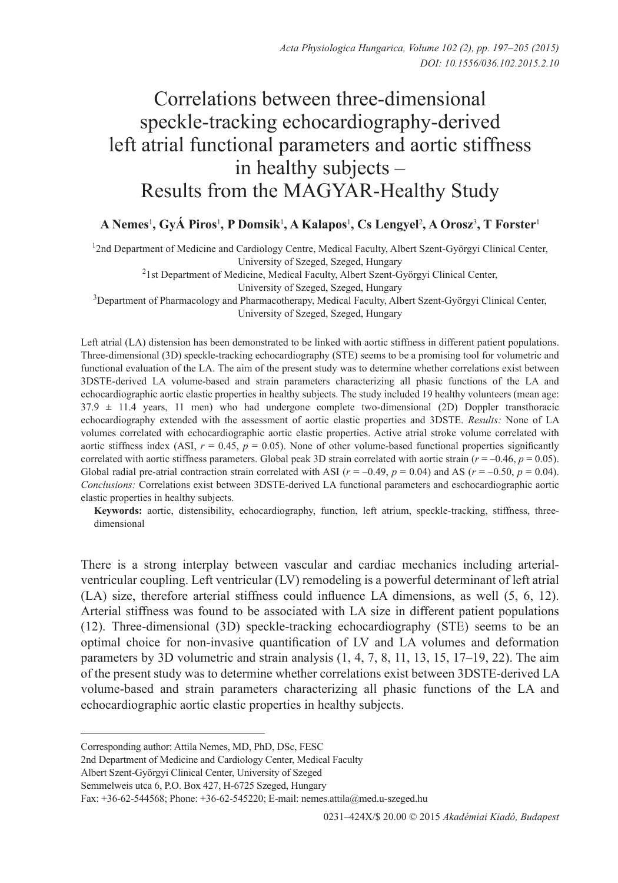# Correlations between three-dimensional speckle-tracking echocardiography-derived left atrial functional parameters and aortic stiffness in healthy subjects – Results from the MAGYAR-Healthy Study

# **A Nemes**<sup>1</sup> **, GyÁ Piros**<sup>1</sup> **, P Domsik**<sup>1</sup> **, A Kalapos**<sup>1</sup> **, Cs Lengyel**<sup>2</sup> **, A Orosz**<sup>3</sup> **, T Forster**<sup>1</sup>

<sup>1</sup>2nd Department of Medicine and Cardiology Centre, Medical Faculty, Albert Szent-Györgyi Clinical Center,

University of Szeged, Szeged, Hungary

<sup>2</sup>1st Department of Medicine, Medical Faculty, Albert Szent-Györgyi Clinical Center,

University of Szeged, Szeged, Hungary

3 Department of Pharmacology and Pharmacotherapy, Medical Faculty, Albert Szent-Györgyi Clinical Center,

University of Szeged, Szeged, Hungary

Left atrial (LA) distension has been demonstrated to be linked with aortic stiffness in different patient populations. Three-dimensional (3D) speckle-tracking echocardiography (STE) seems to be a promising tool for volumetric and functional evaluation of the LA. The aim of the present study was to determine whether correlations exist between 3DSTE-derived LA volume-based and strain parameters characterizing all phasic functions of the LA and echocardiographic aortic elastic properties in healthy subjects. The study included 19 healthy volunteers (mean age: 37.9 ± 11.4 years, 11 men) who had undergone complete two-dimensional (2D) Doppler transthoracic echocardiography extended with the assessment of aortic elastic properties and 3DSTE. *Results:* None of LA volumes correlated with echocardiographic aortic elastic properties. Active atrial stroke volume correlated with aortic stiffness index (ASI,  $r = 0.45$ ,  $p = 0.05$ ). None of other volume-based functional properties significantly correlated with aortic stiffness parameters. Global peak 3D strain correlated with aortic strain ( $r = -0.46$ ,  $p = 0.05$ ). Global radial pre-atrial contraction strain correlated with ASI ( $r = -0.49$ ,  $p = 0.04$ ) and AS ( $r = -0.50$ ,  $p = 0.04$ ). *Conclusions:* Correlations exist between 3DSTE-derived LA functional parameters and eschocardiographic aortic elastic properties in healthy subjects.

**Keywords:** aortic, distensibility, echocardiography, function, left atrium, speckle-tracking, stiffness, threedimensional

There is a strong interplay between vascular and cardiac mechanics including arterialventricular coupling. Left ventricular (LV) remodeling is a powerful determinant of left atrial (LA) size, therefore arterial stiffness could influence LA dimensions, as well (5, 6, 12). Arterial stiffness was found to be associated with LA size in different patient populations (12). Three-dimensional (3D) speckle-tracking echocardiography (STE) seems to be an optimal choice for non-invasive quantification of LV and LA volumes and deformation parameters by 3D volumetric and strain analysis  $(1, 4, 7, 8, 11, 13, 15, 17-19, 22)$ . The aim of the present study was to determine whether correlations exist between 3DSTE-derived LA volume-based and strain parameters characterizing all phasic functions of the LA and echocardiographic aortic elastic properties in healthy subjects.

Albert Szent-Györgyi Clinical Center, University of Szeged

Corresponding author: Attila Nemes, MD, PhD, DSc, FESC

<sup>2</sup>nd Department of Medicine and Cardiology Center, Medical Faculty

Semmelweis utca 6, P.O. Box 427, H-6725 Szeged, Hungary

Fax: +36-62-544568; Phone: +36-62-545220; E-mail: nemes.attila@med.u-szeged.hu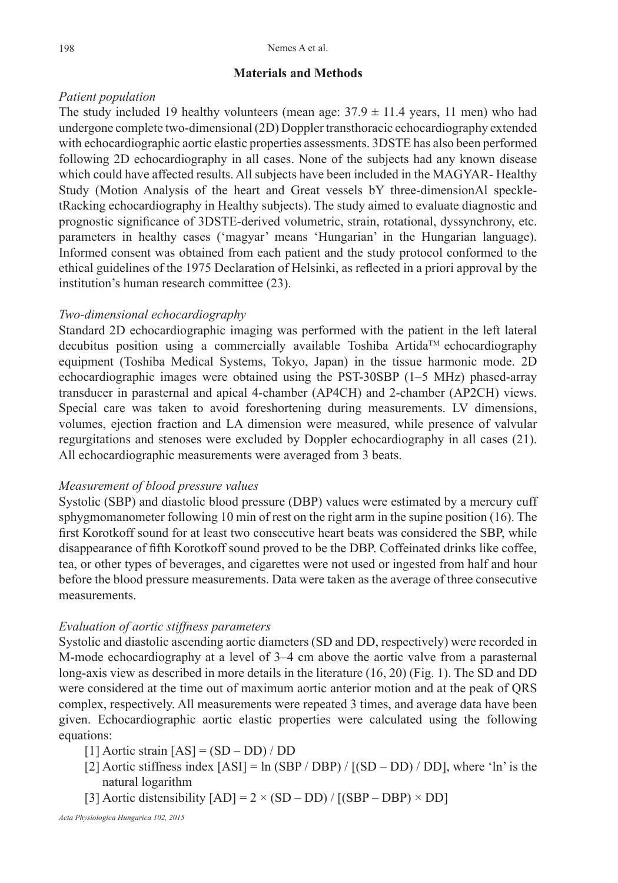#### **Materials and Methods**

## *Patient population*

The study included 19 healthy volunteers (mean age:  $37.9 \pm 11.4$  years, 11 men) who had undergone complete two-dimensional (2D) Doppler transthoracic echocardiography extended with echocardiographic aortic elastic properties assessments. 3DSTE has also been performed following 2D echocardiography in all cases. None of the subjects had any known disease which could have affected results. All subjects have been included in the MAGYAR- Healthy Study (Motion Analysis of the heart and Great vessels bY three-dimensionAl speckletRacking echocardiography in Healthy subjects). The study aimed to evaluate diagnostic and prognostic significance of 3DSTE-derived volumetric, strain, rotational, dyssynchrony, etc. parameters in healthy cases ('magyar' means 'Hungarian' in the Hungarian language). Informed consent was obtained from each patient and the study protocol conformed to the ethical guidelines of the 1975 Declaration of Helsinki, as reflected in a priori approval by the institution's human research committee (23).

#### *Two-dimensional echocardiography*

Standard 2D echocardiographic imaging was performed with the patient in the left lateral  $\alpha$  decubitus position using a commercially available Toshiba Artida<sup>TM</sup> echocardiography equipment (Toshiba Medical Systems, Tokyo, Japan) in the tissue harmonic mode. 2D echocardiographic images were obtained using the PST-30SBP (1–5 MHz) phased-array transducer in parasternal and apical 4-chamber (AP4CH) and 2-chamber (AP2CH) views. Special care was taken to avoid foreshortening during measurements. LV dimensions, volumes, ejection fraction and LA dimension were measured, while presence of valvular regurgitations and stenoses were excluded by Doppler echocardiography in all cases (21). All echocardiographic measurements were averaged from 3 beats.

#### *Measurement of blood pressure values*

Systolic (SBP) and diastolic blood pressure (DBP) values were estimated by a mercury cuff sphygmomanometer following 10 min of rest on the right arm in the supine position (16). The first Korotkoff sound for at least two consecutive heart beats was considered the SBP, while disappearance of fifth Korotkoff sound proved to be the DBP. Coffeinated drinks like coffee, tea, or other types of beverages, and cigarettes were not used or ingested from half and hour before the blood pressure measurements. Data were taken as the average of three consecutive measurements.

## *Evaluation of aortic stiffness parameters*

Systolic and diastolic ascending aortic diameters (SD and DD, respectively) were recorded in M-mode echocardiography at a level of 3–4 cm above the aortic valve from a parasternal long-axis view as described in more details in the literature (16, 20) (Fig. 1). The SD and DD were considered at the time out of maximum aortic anterior motion and at the peak of QRS complex, respectively. All measurements were repeated 3 times, and average data have been given. Echocardiographic aortic elastic properties were calculated using the following equations:

[1] Aortic strain [AS] = (SD – DD) / DD

- [2] Aortic stiffness index  $[ASI] = \ln (SBP / DBP) / [(SD DD) / DD]$ , where 'ln' is the natural logarithm
- [3] Aortic distensibility  $[AD] = 2 \times (SD DD) / [(SBP DBP) \times DD]$

*Acta Physiologica Hungarica 102, 2015*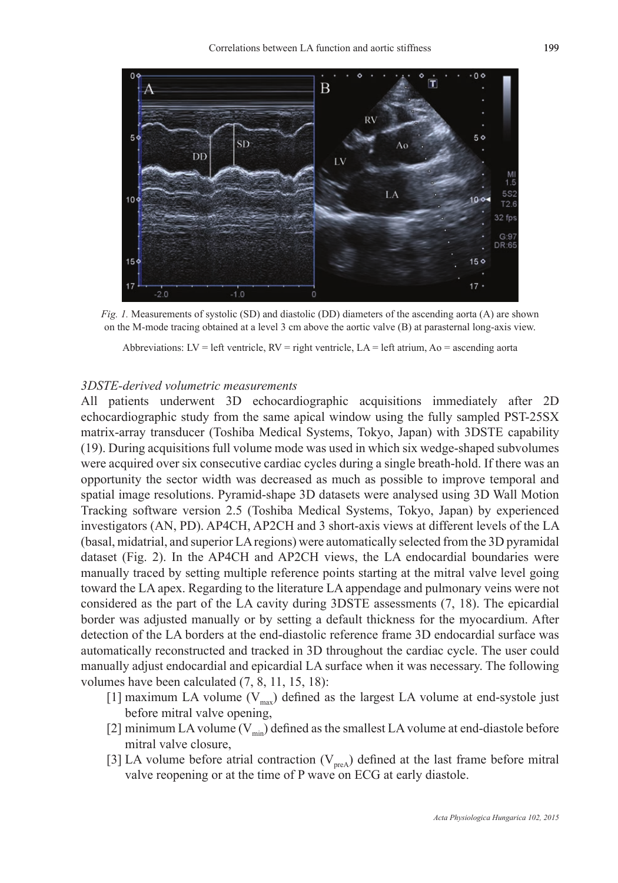

*Fig. 1.* Measurements of systolic (SD) and diastolic (DD) diameters of the ascending aorta (A) are shown on the M-mode tracing obtained at a level 3 cm above the aortic valve (B) at parasternal long-axis view.

Abbreviations:  $LV = left$  ventricle,  $RV = right$  ventricle,  $LA = left$  atrium,  $Ao = ascending$  aorta

#### *3DSTE-derived volumetric measurements*

All patients underwent 3D echocardiographic acquisitions immediately after 2D echocardiographic study from the same apical window using the fully sampled PST-25SX matrix-array transducer (Toshiba Medical Systems, Tokyo, Japan) with 3DSTE capability (19). During acquisitions full volume mode was used in which six wedge-shaped subvolumes were acquired over six consecutive cardiac cycles during a single breath-hold. If there was an opportunity the sector width was decreased as much as possible to improve temporal and spatial image resolutions. Pyramid-shape 3D datasets were analysed using 3D Wall Motion Tracking software version 2.5 (Toshiba Medical Systems, Tokyo, Japan) by experienced investigators (AN, PD). AP4CH, AP2CH and 3 short-axis views at different levels of the LA (basal, midatrial, and superior LA regions) were automatically selected from the 3D pyramidal dataset (Fig. 2). In the AP4CH and AP2CH views, the LA endocardial boundaries were manually traced by setting multiple reference points starting at the mitral valve level going toward the LA apex. Regarding to the literature LA appendage and pulmonary veins were not considered as the part of the LA cavity during 3DSTE assessments (7, 18). The epicardial border was adjusted manually or by setting a default thickness for the myocardium. After detection of the LA borders at the end-diastolic reference frame 3D endocardial surface was automatically reconstructed and tracked in 3D throughout the cardiac cycle. The user could manually adjust endocardial and epicardial LA surface when it was necessary. The following volumes have been calculated (7, 8, 11, 15, 18):

- [1] maximum LA volume  $(V_{\text{max}})$  defined as the largest LA volume at end-systole just before mitral valve opening,
- [2] minimum LA volume  $(V_{min})$  defined as the smallest LA volume at end-diastole before mitral valve closure,
- [3] LA volume before atrial contraction  $(V_{preA})$  defined at the last frame before mitral valve reopening or at the time of P wave on ECG at early diastole.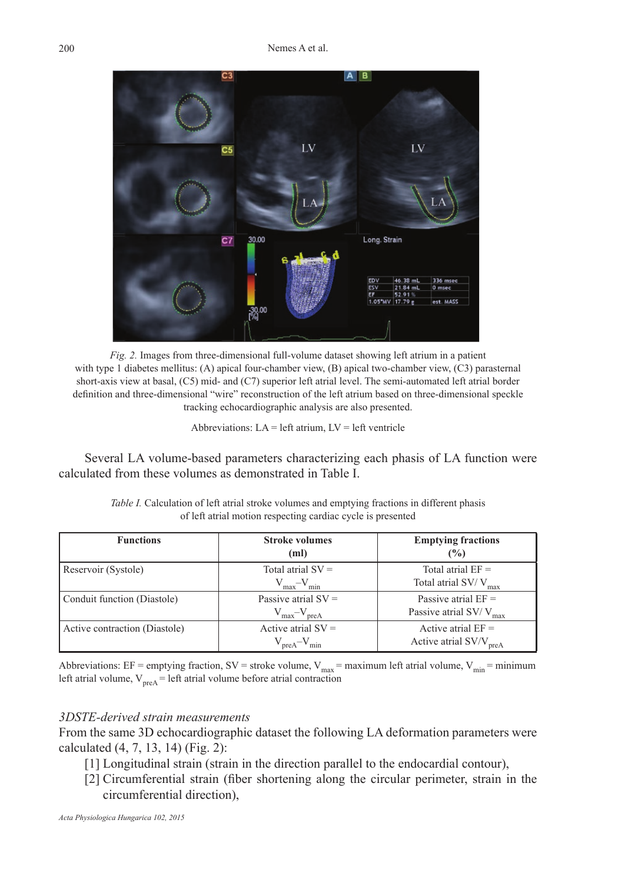

*Fig. 2.* Images from three-dimensional full-volume dataset showing left atrium in a patient with type 1 diabetes mellitus: (A) apical four-chamber view, (B) apical two-chamber view, (C3) parasternal short-axis view at basal, (C5) mid- and (C7) superior left atrial level. The semi-automated left atrial border definition and three-dimensional "wire" reconstruction of the left atrium based on three-dimensional speckle tracking echocardiographic analysis are also presented.

Abbreviations:  $LA = left$  atrium,  $LV = left$  ventricle

Several LA volume-based parameters characterizing each phasis of LA function were calculated from these volumes as demonstrated in Table I.

| <b>Functions</b>              | <b>Stroke volumes</b><br>(ml)      | <b>Emptying fractions</b><br>$\frac{9}{6}$ |
|-------------------------------|------------------------------------|--------------------------------------------|
| Reservoir (Systole)           | Total atrial $SV =$                | Total atrial $EF =$                        |
|                               | $V_{\text{max}} - V_{\text{min}}$  | Total atrial SV/V <sub>max</sub>           |
| Conduit function (Diastole)   | Passive atrial $SV =$              | Passive atrial $EF =$                      |
|                               | $V_{\text{max}} - V_{\text{preA}}$ | Passive atrial SV/ $V_{max}$               |
| Active contraction (Diastole) | Active atrial $SV =$               | Active atrial $EF =$                       |
|                               | $V_{\text{preA}} - V_{\text{min}}$ | Active atrial SV/V <sub>preA</sub>         |

*Table I.* Calculation of left atrial stroke volumes and emptying fractions in different phasis of left atrial motion respecting cardiac cycle is presented

Abbreviations: EF = emptying fraction, SV = stroke volume,  $V_{max}$  = maximum left atrial volume,  $V_{min}$  = minimum left atrial volume,  $V_{\text{preA}}$  = left atrial volume before atrial contraction

## *3DSTE-derived strain measurements*

From the same 3D echocardiographic dataset the following LA deformation parameters were calculated (4, 7, 13, 14) (Fig. 2):

- [1] Longitudinal strain (strain in the direction parallel to the endocardial contour),
- [2] Circumferential strain (fiber shortening along the circular perimeter, strain in the circumferential direction),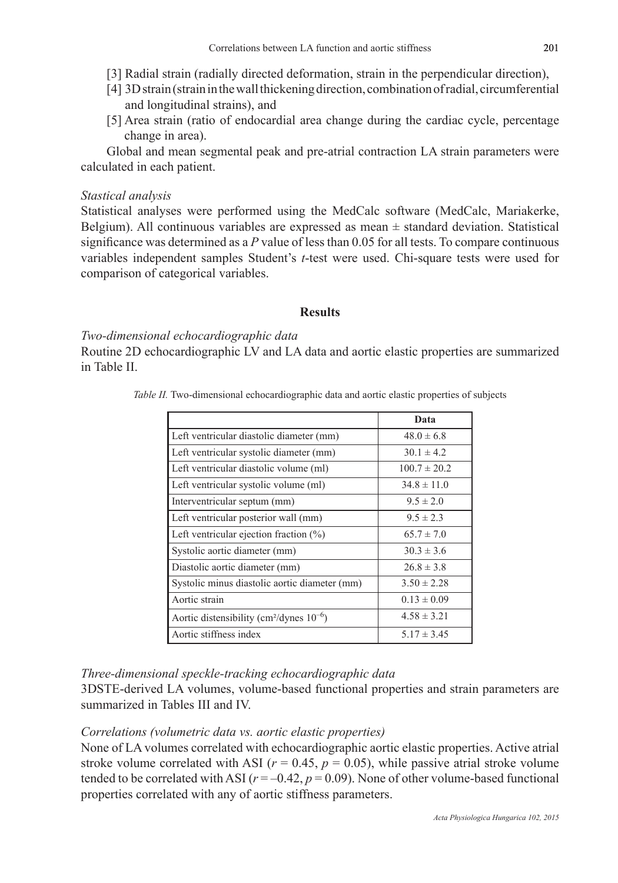- [3] Radial strain (radially directed deformation, strain in the perpendicular direction),
- [4] 3D strain (strain in the wall thickening direction, combination of radial, circumferential and longitudinal strains), and
- [5] Area strain (ratio of endocardial area change during the cardiac cycle, percentage change in area).

Global and mean segmental peak and pre-atrial contraction LA strain parameters were calculated in each patient.

## *Stastical analysis*

Statistical analyses were performed using the MedCalc software (MedCalc, Mariakerke, Belgium). All continuous variables are expressed as mean ± standard deviation. Statistical significance was determined as a *P* value of less than 0.05 for all tests. To compare continuous variables independent samples Student's *t*-test were used. Chi-square tests were used for comparison of categorical variables.

## **Results**

#### *Two-dimensional echocardiographic data*

Routine 2D echocardiographic LV and LA data and aortic elastic properties are summarized in Table II.

|  | Table II. Two-dimensional echocardiographic data and aortic elastic properties of subjects |  |  |  |  |
|--|--------------------------------------------------------------------------------------------|--|--|--|--|
|  |                                                                                            |  |  |  |  |

|                                                           | Data             |
|-----------------------------------------------------------|------------------|
| Left ventricular diastolic diameter (mm)                  | $48.0 \pm 6.8$   |
| Left ventricular systolic diameter (mm)                   | $30.1 \pm 4.2$   |
| Left ventricular diastolic volume (ml)                    | $100.7 \pm 20.2$ |
| Left ventricular systolic volume (ml)                     | $34.8 \pm 11.0$  |
| Interventricular septum (mm)                              | $9.5 \pm 2.0$    |
| Left ventricular posterior wall (mm)                      | $9.5 \pm 2.3$    |
| Left ventricular ejection fraction $(\%)$                 | $65.7 \pm 7.0$   |
| Systolic aortic diameter (mm)                             | $30.3 \pm 3.6$   |
| Diastolic aortic diameter (mm)                            | $26.8 \pm 3.8$   |
| Systolic minus diastolic aortic diameter (mm)             | $3.50 \pm 2.28$  |
| Aortic strain                                             | $0.13 \pm 0.09$  |
| Aortic distensibility (cm <sup>2</sup> /dynes $10^{-6}$ ) | $4.58 \pm 3.21$  |
| Aortic stiffness index                                    | $5.17 \pm 3.45$  |

## *Three-dimensional speckle-tracking echocardiographic data*

3DSTE-derived LA volumes, volume-based functional properties and strain parameters are summarized in Tables III and IV.

#### *Correlations (volumetric data vs. aortic elastic properties)*

None of LA volumes correlated with echocardiographic aortic elastic properties. Active atrial stroke volume correlated with ASI ( $r = 0.45$ ,  $p = 0.05$ ), while passive atrial stroke volume tended to be correlated with ASI ( $r = -0.42$ ,  $p = 0.09$ ). None of other volume-based functional properties correlated with any of aortic stiffness parameters.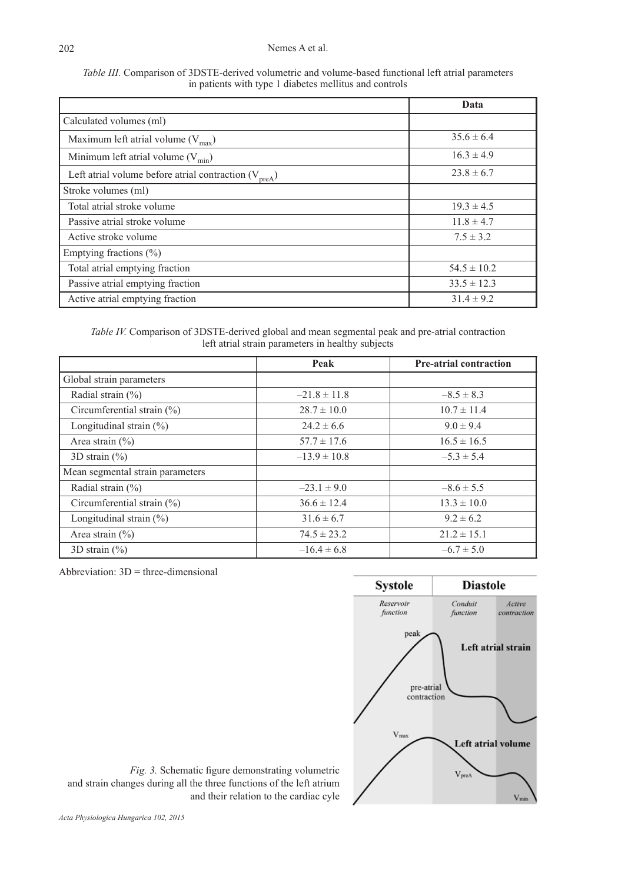#### Nemes A et al.

| <i>Table III.</i> Comparison of 3DSTE-derived volumetric and volume-based functional left atrial parameters |  |
|-------------------------------------------------------------------------------------------------------------|--|
| in patients with type 1 diabetes mellitus and controls                                                      |  |

|                                                           | Data            |
|-----------------------------------------------------------|-----------------|
| Calculated volumes (ml)                                   |                 |
| Maximum left atrial volume $(V_{max})$                    | $35.6 \pm 6.4$  |
| Minimum left atrial volume $(V_{min})$                    | $16.3 \pm 4.9$  |
| Left atrial volume before atrial contraction $(V_{preA})$ | $23.8 \pm 6.7$  |
| Stroke volumes (ml)                                       |                 |
| Total atrial stroke volume                                | $19.3 \pm 4.5$  |
| Passive atrial stroke volume                              | $11.8 \pm 4.7$  |
| Active stroke volume                                      | $7.5 \pm 3.2$   |
| Emptying fractions $(\% )$                                |                 |
| Total atrial emptying fraction                            | $54.5 \pm 10.2$ |
| Passive atrial emptying fraction                          | $33.5 \pm 12.3$ |
| Active atrial emptying fraction                           | $31.4 \pm 9.2$  |

*Table IV.* Comparison of 3DSTE-derived global and mean segmental peak and pre-atrial contraction left atrial strain parameters in healthy subjects

|                                  | Peak             | <b>Pre-atrial contraction</b> |
|----------------------------------|------------------|-------------------------------|
| Global strain parameters         |                  |                               |
| Radial strain $(\% )$            | $-21.8 \pm 11.8$ | $-8.5 \pm 8.3$                |
| Circumferential strain $(\%)$    | $28.7 \pm 10.0$  | $10.7 \pm 11.4$               |
| Longitudinal strain $(\%)$       | $24.2 \pm 6.6$   | $9.0 \pm 9.4$                 |
| Area strain $(\% )$              | $57.7 \pm 17.6$  | $16.5 \pm 16.5$               |
| 3D strain $(\% )$                | $-13.9 \pm 10.8$ | $-5.3 \pm 5.4$                |
| Mean segmental strain parameters |                  |                               |
| Radial strain $(\% )$            | $-23.1 \pm 9.0$  | $-8.6 \pm 5.5$                |
| Circumferential strain (%)       | $36.6 \pm 12.4$  | $13.3 \pm 10.0$               |
| Longitudinal strain $(\%)$       | $31.6 \pm 6.7$   | $9.2 \pm 6.2$                 |
| Area strain $(\% )$              | $74.5 \pm 23.2$  | $21.2 \pm 15.1$               |
| 3D strain $(\% )$                | $-16.4 \pm 6.8$  | $-6.7 \pm 5.0$                |

Abbreviation:  $3D$  = three-dimensional



*Fig. 3.* Schematic figure demonstrating volumetric and strain changes during all the three functions of the left atrium and their relation to the cardiac cyle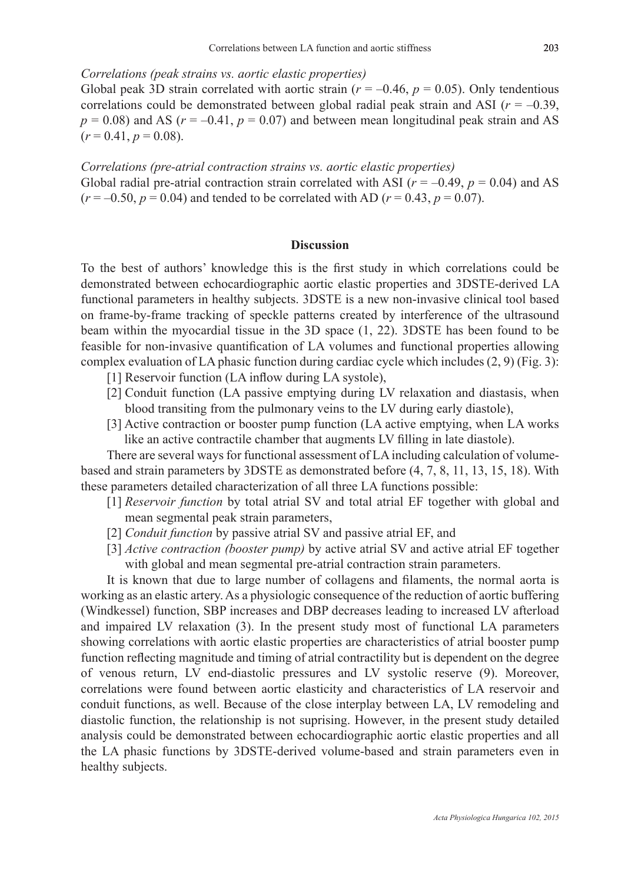#### *Correlations (peak strains vs. aortic elastic properties)*

Global peak 3D strain correlated with aortic strain ( $r = -0.46$ ,  $p = 0.05$ ). Only tendentious correlations could be demonstrated between global radial peak strain and ASI  $(r = -0.39)$ ,  $p = 0.08$ ) and AS ( $r = -0.41$ ,  $p = 0.07$ ) and between mean longitudinal peak strain and AS  $(r = 0.41, p = 0.08)$ .

*Correlations (pre-atrial contraction strains vs. aortic elastic properties)* Global radial pre-atrial contraction strain correlated with ASI ( $r = -0.49$ ,  $p = 0.04$ ) and AS  $(r = -0.50, p = 0.04)$  and tended to be correlated with AD ( $r = 0.43, p = 0.07$ ).

### **Discussion**

To the best of authors' knowledge this is the first study in which correlations could be demonstrated between echocardiographic aortic elastic properties and 3DSTE-derived LA functional parameters in healthy subjects. 3DSTE is a new non-invasive clinical tool based on frame-by-frame tracking of speckle patterns created by interference of the ultrasound beam within the myocardial tissue in the 3D space (1, 22). 3DSTE has been found to be feasible for non-invasive quantification of LA volumes and functional properties allowing complex evaluation of LA phasic function during cardiac cycle which includes  $(2, 9)$  (Fig. 3):

- [1] Reservoir function (LA inflow during LA systole),
- [2] Conduit function (LA passive emptying during LV relaxation and diastasis, when blood transiting from the pulmonary veins to the LV during early diastole),
- [3] Active contraction or booster pump function (LA active emptying, when LA works like an active contractile chamber that augments LV filling in late diastole).

There are several ways for functional assessment of LA including calculation of volumebased and strain parameters by 3DSTE as demonstrated before (4, 7, 8, 11, 13, 15, 18). With these parameters detailed characterization of all three LA functions possible:

- [1] *Reservoir function* by total atrial SV and total atrial EF together with global and mean segmental peak strain parameters,
- [2] *Conduit function* by passive atrial SV and passive atrial EF, and
- [3] *Active contraction (booster pump)* by active atrial SV and active atrial EF together with global and mean segmental pre-atrial contraction strain parameters.

It is known that due to large number of collagens and filaments, the normal aorta is working as an elastic artery. As a physiologic consequence of the reduction of aortic buffering (Windkessel) function, SBP increases and DBP decreases leading to increased LV afterload and impaired LV relaxation (3). In the present study most of functional LA parameters showing correlations with aortic elastic properties are characteristics of atrial booster pump function reflecting magnitude and timing of atrial contractility but is dependent on the degree of venous return, LV end-diastolic pressures and LV systolic reserve (9). Moreover, correlations were found between aortic elasticity and characteristics of LA reservoir and conduit functions, as well. Because of the close interplay between LA, LV remodeling and diastolic function, the relationship is not suprising. However, in the present study detailed analysis could be demonstrated between echocardiographic aortic elastic properties and all the LA phasic functions by 3DSTE-derived volume-based and strain parameters even in healthy subjects.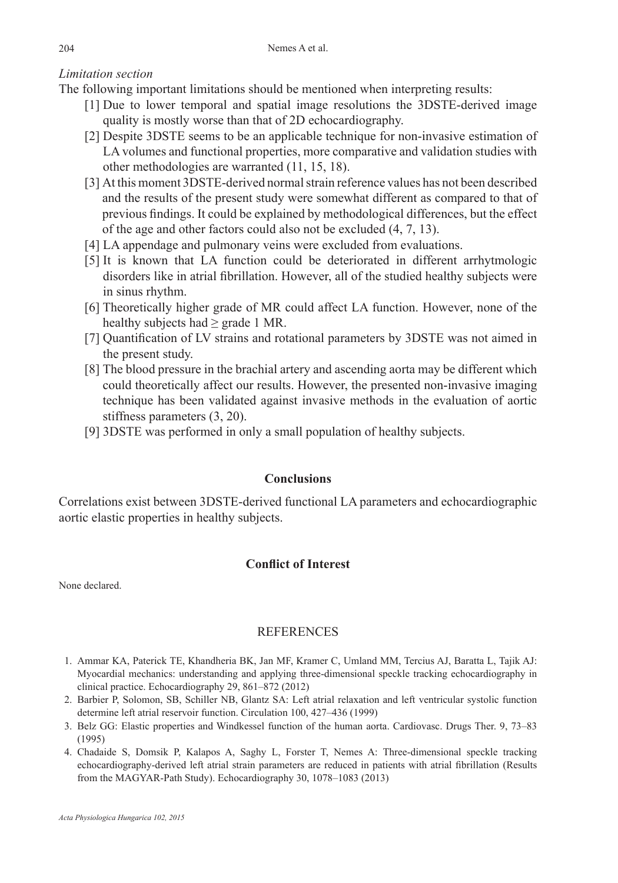# *Limitation section*

The following important limitations should be mentioned when interpreting results:

- [1] Due to lower temporal and spatial image resolutions the 3DSTE-derived image quality is mostly worse than that of 2D echocardiography.
- [2] Despite 3DSTE seems to be an applicable technique for non-invasive estimation of LA volumes and functional properties, more comparative and validation studies with other methodologies are warranted (11, 15, 18).
- [3] At this moment 3DSTE-derived normal strain reference values has not been described and the results of the present study were somewhat different as compared to that of previous findings. It could be explained by methodological differences, but the effect of the age and other factors could also not be excluded (4, 7, 13).
- [4] LA appendage and pulmonary veins were excluded from evaluations.
- [5] It is known that LA function could be deteriorated in different arrhytmologic disorders like in atrial fibrillation. However, all of the studied healthy subjects were in sinus rhythm.
- [6] Theoretically higher grade of MR could affect LA function. However, none of the healthy subjects had  $\geq$  grade 1 MR.
- [7] Quantification of LV strains and rotational parameters by 3DSTE was not aimed in the present study.
- [8] The blood pressure in the brachial artery and ascending aorta may be different which could theoretically affect our results. However, the presented non-invasive imaging technique has been validated against invasive methods in the evaluation of aortic stiffness parameters (3, 20).
- [9] 3DSTE was performed in only a small population of healthy subjects.

# **Conclusions**

Correlations exist between 3DSTE-derived functional LA parameters and echocardiographic aortic elastic properties in healthy subjects.

# **Conflict of Interest**

None declared.

# REFERENCES

- 1. Ammar KA, Paterick TE, Khandheria BK, Jan MF, Kramer C, Umland MM, Tercius AJ, Baratta L, Tajik AJ: Myocardial mechanics: understanding and applying three-dimensional speckle tracking echocardiography in clinical practice. Echocardiography 29, 861–872 (2012)
- 2. Barbier P, Solomon, SB, Schiller NB, Glantz SA: Left atrial relaxation and left ventricular systolic function determine left atrial reservoir function. Circulation 100, 427–436 (1999)
- 3. Belz GG: Elastic properties and Windkessel function of the human aorta. Cardiovasc. Drugs Ther. 9, 73–83 (1995)
- 4. Chadaide S, Domsik P, Kalapos A, Saghy L, Forster T, Nemes A: Three-dimensional speckle tracking echocardiography-derived left atrial strain parameters are reduced in patients with atrial fibrillation (Results from the MAGYAR-Path Study). Echocardiography 30, 1078–1083 (2013)